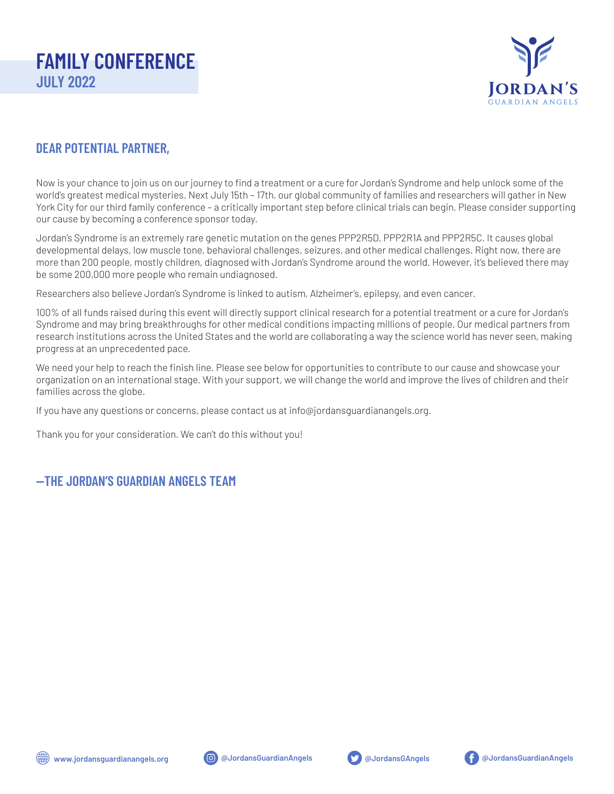

### **DEAR POTENTIAL PARTNER,**

Now is your chance to join us on our journey to find a treatment or a cure for Jordan's Syndrome and help unlock some of the world's greatest medical mysteries. Next July 15th – 17th, our global community of families and researchers will gather in New York City for our third family conference – a critically important step before clinical trials can begin. Please consider supporting our cause by becoming a conference sponsor today.

Jordan's Syndrome is an extremely rare genetic mutation on the genes PPP2R5D, PPP2R1A and PPP2R5C. It causes global developmental delays, low muscle tone, behavioral challenges, seizures, and other medical challenges. Right now, there are more than 200 people, mostly children, diagnosed with Jordan's Syndrome around the world. However, it's believed there may be some 200,000 more people who remain undiagnosed.

Researchers also believe Jordan's Syndrome is linked to autism, Alzheimer's, epilepsy, and even cancer.

100% of all funds raised during this event will directly support clinical research for a potential treatment or a cure for Jordan's Syndrome and may bring breakthroughs for other medical conditions impacting millions of people. Our medical partners from research institutions across the United States and the world are collaborating a way the science world has never seen, making progress at an unprecedented pace.

We need your help to reach the finish line. Please see below for opportunities to contribute to our cause and showcase your organization on an international stage. With your support, we will change the world and improve the lives of children and their families across the globe.

If you have any questions or concerns, please contact us at info@jordansguardianangels.org.

Thank you for your consideration. We can't do this without you!

#### **—THE JORDAN'S GUARDIAN ANGELS TEAM**







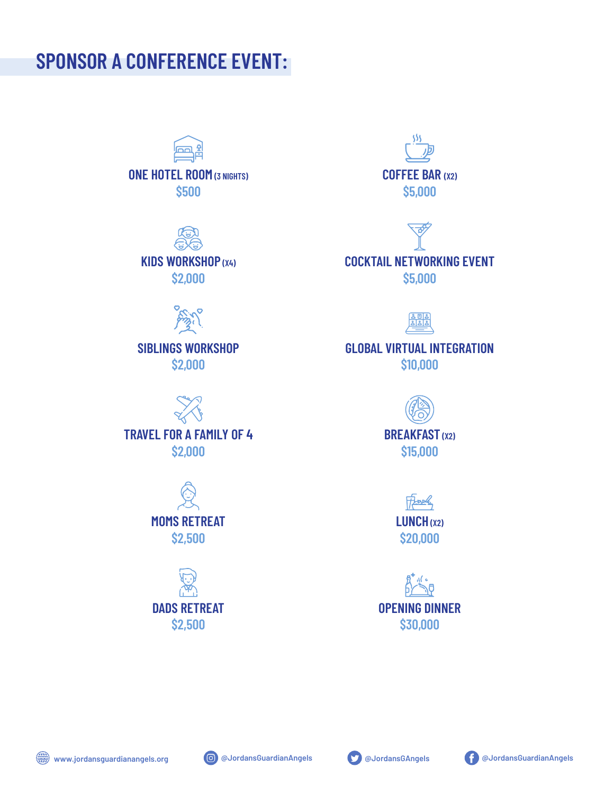# **SPONSOR A CONFERENCE EVENT:**



**\$500**





**SIBLINGS WORKSHOP \$2,000**



**TRAVEL FOR A FAMILY OF 4 \$2,000**

> **MOMS RETREAT \$2,500**



ş۶ş **COFFEE BAR (X2) \$5,000**





### **GLOBAL VIRTUAL INTEGRATION \$10,000**



Freek **LUNCH (X2) \$20,000**

**OPENING DINNER \$30,000**





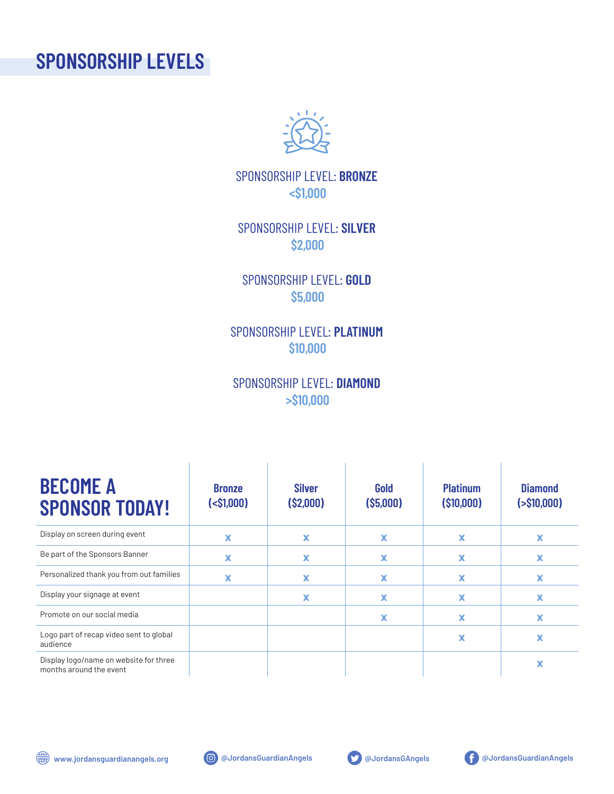# **SPONSORSHIP LEVELS**



SPONSORSHIP LEVEL: **BRONZE <\$1,000**

SPONSORSHIP LEVEL: **SILVER \$2,000**

SPONSORSHIP LEVEL: **GOLD \$5,000**

SPONSORSHIP LEVEL: **PLATINUM \$10,000**

## SPONSORSHIP LEVEL: **DIAMOND >\$10,000**

| <b>BECOME A</b><br><b>SPONSOR TODAY!</b>                          | <b>Bronze</b><br>$(<\frac{1}{51,000})$ | <b>Silver</b><br>(S2,000) | Gold<br>(S5,000) | <b>Platinum</b><br>(\$10,000) | <b>Diamond</b><br>$($ >\$10,000) |
|-------------------------------------------------------------------|----------------------------------------|---------------------------|------------------|-------------------------------|----------------------------------|
| Display on screen during event                                    | X                                      | X                         | X                | $\boldsymbol{\mathsf{x}}$     | x                                |
| Be part of the Sponsors Banner                                    | x                                      | x                         | X                | x                             | x                                |
| Personalized thank you from out families                          | x                                      | X                         | X                | x                             | x                                |
| Display your signage at event                                     |                                        | x                         | x                | x                             | x                                |
| Promote on our social media                                       |                                        |                           | X                | x                             | x                                |
| Logo part of recap video sent to global<br>audience               |                                        |                           |                  | X                             |                                  |
| Display logo/name on website for three<br>months around the event |                                        |                           |                  |                               | x                                |